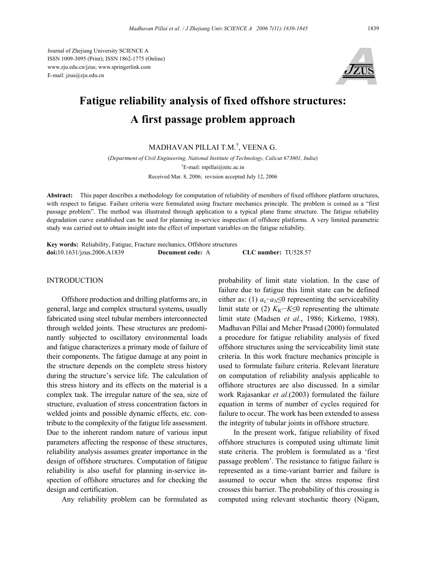Journal of Zhejiang University SCIENCE A ISSN 1009-3095 (Print); ISSN 1862-1775 (Online) www.zju.edu.cn/jzus; www.springerlink.com E-mail: jzus@zju.edu.cn



# **Fatigue reliability analysis of fixed offshore structures: A first passage problem approach**

MADHAVAN PILLAI T.M.† , VEENA G.

(*Department of Civil Engineering, National Institute of Technology, Calicut 673601, India*) † E-mail: mpillai@nitc.ac.in Received Mar. 8, 2006; revision accepted July 12, 2006

**Abstract:** This paper describes a methodology for computation of reliability of members of fixed offshore platform structures, with respect to fatigue. Failure criteria were formulated using fracture mechanics principle. The problem is coined as a "first passage problem". The method was illustrated through application to a typical plane frame structure. The fatigue reliability degradation curve established can be used for planning in-service inspection of offshore platforms. A very limited parametric study was carried out to obtain insight into the effect of important variables on the fatigue reliability.

**Key words:** Reliability, Fatigue, Fracture mechanics, Offshore structures **doi:**10.1631/jzus.2006.A1839 **Document code:** A **CLC number:** TU528.57

#### INTRODUCTION

Offshore production and drilling platforms are, in general, large and complex structural systems, usually fabricated using steel tubular members interconnected through welded joints. These structures are predominantly subjected to oscillatory environmental loads and fatigue characterizes a primary mode of failure of their components. The fatigue damage at any point in the structure depends on the complete stress history during the structure's service life. The calculation of this stress history and its effects on the material is a complex task. The irregular nature of the sea, size of structure, evaluation of stress concentration factors in welded joints and possible dynamic effects, etc. contribute to the complexity of the fatigue life assessment. Due to the inherent random nature of various input parameters affecting the response of these structures, reliability analysis assumes greater importance in the design of offshore structures. Computation of fatigue reliability is also useful for planning in-service inspection of offshore structures and for checking the design and certification.

Any reliability problem can be formulated as

probability of limit state violation. In the case of failure due to fatigue this limit state can be defined either as: (1)  $a_c - a_N \leq 0$  representing the serviceability limit state or (2) *K*IC−*K*≤0 representing the ultimate limit state (Madsen *et al*., 1986; Kirkemo, 1988). Madhavan Pillai and Meher Prasad (2000) formulated a procedure for fatigue reliability analysis of fixed offshore structures using the serviceability limit state criteria. In this work fracture mechanics principle is used to formulate failure criteria. Relevant literature on computation of reliability analysis applicable to offshore structures are also discussed. In a similar work Rajasankar *et al*.(2003) formulated the failure equation in terms of number of cycles required for failure to occur. The work has been extended to assess the integrity of tubular joints in offshore structure.

In the present work, fatigue reliability of fixed offshore structures is computed using ultimate limit state criteria. The problem is formulated as a 'first passage problem'. The resistance to fatigue failure is represented as a time-variant barrier and failure is assumed to occur when the stress response first crosses this barrier. The probability of this crossing is computed using relevant stochastic theory (Nigam,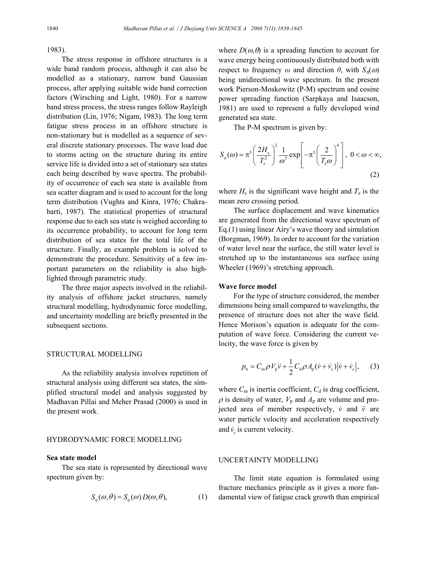1983).

The stress response in offshore structures is a wide band random process, although it can also be modelled as a stationary, narrow band Gaussian process, after applying suitable wide band correction factors (Wirsching and Light, 1980). For a narrow band stress process, the stress ranges follow Rayleigh distribution (Lin, 1976; Nigam, 1983). The long term fatigue stress process in an offshore structure is non-stationary but is modelled as a sequence of several discrete stationary processes. The wave load due to storms acting on the structure during its entire service life is divided into a set of stationary sea states each being described by wave spectra. The probability of occurrence of each sea state is available from sea scatter diagram and is used to account for the long term distribution (Vughts and Kinra, 1976; Chakrabarti, 1987). The statistical properties of structural response due to each sea state is weighed according to its occurrence probability, to account for long term distribution of sea states for the total life of the structure. Finally, an example problem is solved to demonstrate the procedure. Sensitivity of a few important parameters on the reliability is also highlighted through parametric study.

The three major aspects involved in the reliability analysis of offshore jacket structures, namely structural modelling, hydrodynamic force modelling, and uncertainty modelling are briefly presented in the subsequent sections.

# STRUCTURAL MODELLING

As the reliability analysis involves repetition of structural analysis using different sea states, the simplified structural model and analysis suggested by Madhavan Pillai and Meher Prasad (2000) is used in the present work.

## HYDRODYNAMIC FORCE MODELLING

# **Sea state model**

The sea state is represented by directional wave spectrum given by:

$$
S_{\eta}(\omega,\theta) = S_{\eta}(\omega) D(\omega,\theta), \tag{1}
$$

where  $D(\omega,\theta)$  is a spreading function to account for wave energy being continuously distributed both with respect to frequency  $\omega$  and direction  $\theta$ , with  $S_n(\omega)$ being unidirectional wave spectrum. In the present work Pierson-Moskowitz (P-M) spectrum and cosine power spreading function (Sarpkaya and Isaacson, 1981) are used to represent a fully developed wind generated sea state.

The P-M spectrum is given by:

$$
S_{\eta}(\omega) = \pi^3 \left(\frac{2H_s}{T_z^2}\right)^2 \frac{1}{\omega^5} \exp\left[-\pi^3 \left(\frac{2}{T_z\omega}\right)^4\right], \ 0 < \omega < \infty,
$$
\n(2)

where  $H_s$  is the significant wave height and  $T_z$  is the mean zero crossing period.

The surface displacement and wave kinematics are generated from the directional wave spectrum of Eq.(1) using linear Airy's wave theory and simulation (Borgman, 1969). In order to account for the variation of water level near the surface, the still water level is stretched up to the instantaneous sea surface using Wheeler (1969)'s stretching approach.

#### **Wave force model**

For the type of structure considered, the member dimensions being small compared to wavelengths, the presence of structure does not alter the wave field. Hence Morison's equation is adequate for the computation of wave force. Considering the current velocity, the wave force is given by

$$
p_{\rm h} = C_{\rm m}\rho V_{\rm p}\ddot{v} + \frac{1}{2}C_{\rm d}\rho A_{\rm p}(\dot{v} + \dot{v}_{\rm c})|\dot{v} + \dot{v}_{\rm c}|,\qquad(3)
$$

where  $C_m$  is inertia coefficient,  $C_d$  is drag coefficient,  $\rho$  is density of water,  $V_p$  and  $A_p$  are volume and projected area of member respectively,  $\dot{v}$  and  $\ddot{v}$  are water particle velocity and acceleration respectively and  $\dot{v}_c$  is current velocity.

# UNCERTAINTY MODELLING

The limit state equation is formulated using fracture mechanics principle as it gives a more fundamental view of fatigue crack growth than empirical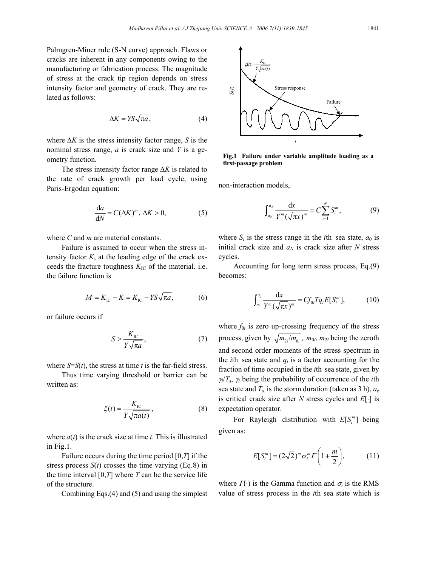Palmgren-Miner rule (S-N curve) approach. Flaws or cracks are inherent in any components owing to the manufacturing or fabrication process. The magnitude of stress at the crack tip region depends on stress intensity factor and geometry of crack. They are related as follows:

$$
\Delta K = Y S \sqrt{\pi a},\tag{4}
$$

where ∆*K* is the stress intensity factor range, *S* is the nominal stress range, *a* is crack size and *Y* is a geometry function.

The stress intensity factor range ∆*K* is related to the rate of crack growth per load cycle, using Paris-Ergodan equation:

$$
\frac{\mathrm{d}a}{\mathrm{d}N} = C(\Delta K)^m, \, \Delta K > 0,\tag{5}
$$

where *C* and *m* are material constants.

Failure is assumed to occur when the stress intensity factor *K*, at the leading edge of the crack exceeds the fracture toughness  $K_{\text{IC}}$  of the material. i.e. the failure function is

$$
M = K_{\rm IC} - K = K_{\rm IC} - YS\sqrt{\pi a},\tag{6}
$$

or failure occurs if

$$
S > \frac{K_{\rm IC}}{Y\sqrt{\pi a}},\tag{7}
$$

where  $S=S(t)$ , the stress at time *t* is the far-field stress.

Thus time varying threshold or barrier can be written as:

$$
\xi(t) = \frac{K_{\rm IC}}{Y \sqrt{\pi a(t)}},\tag{8}
$$

where  $a(t)$  is the crack size at time *t*. This is illustrated in Fig.1.

Failure occurs during the time period [0,*T*] if the stress process  $S(t)$  crosses the time varying (Eq.8) in the time interval  $[0, T]$  where *T* can be the service life of the structure.

Combining Eqs.(4) and (5) and using the simplest



**Fig.1 Failure under variable amplitude loading as a first-passage problem** 

non-interaction models,

$$
\int_{a_0}^{a_N} \frac{\mathrm{d}x}{Y^m (\sqrt{\pi x})^m} = C \sum_{i=1}^N S_i^m, \tag{9}
$$

where  $S_i$  is the stress range in the *i*th sea state,  $a_0$  is initial crack size and  $a_N$  is crack size after *N* stress cycles.

Accounting for long term stress process, Eq.(9) becomes:

$$
\int_{a_0}^{a_c} \frac{\mathrm{d}x}{Y^m (\sqrt{\pi x})^m} = C f_{0i} T q_i E[S_i^m], \tag{10}
$$

where  $f_{0i}$  is zero up-crossing frequency of the stress process, given by  $\sqrt{m_{2}/m_{0i}}$ ,  $m_{0i}$ ,  $m_{2i}$  being the zeroth and second order moments of the stress spectrum in the *i*th sea state and  $q_i$  is a factor accounting for the fraction of time occupied in the *i*th sea state, given by  $\gamma_i/T_s$ ,  $\gamma_i$  being the probability of occurrence of the *i*th sea state and  $T_s$  is the storm duration (taken as 3 h),  $a_c$ is critical crack size after *N* stress cycles and *E*[⋅] is expectation operator.

For Rayleigh distribution with  $E[S_i^m]$  being given as:

$$
E[S_i^m] = (2\sqrt{2})^m \sigma_i^m \Gamma\left(1 + \frac{m}{2}\right),\tag{11}
$$

where  $\Gamma(\cdot)$  is the Gamma function and  $\sigma_i$  is the RMS value of stress process in the *i*th sea state which is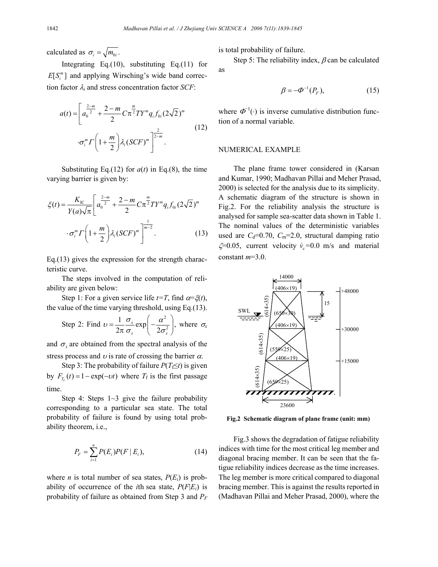calculated as  $\sigma_i = \sqrt{m_{0i}}$ .

Integrating Eq.(10), substituting Eq.(11) for  $E[S_i^m]$  and applying Wirsching's wide band correction factor λ*i* and stress concentration factor *SCF*:

$$
a(t) = \left[a_0^{\frac{2-m}{2}} + \frac{2-m}{2} C \pi^{\frac{m}{2}} T Y^m q_i f_{0i} (2\sqrt{2})^m \right]
$$
  

$$
\sigma_i^m \Gamma\left(1 + \frac{m}{2}\right) \lambda_i (SCF)^m \right]^{\frac{2}{2-m}}.
$$
 (12)

Substituting Eq.(12) for  $a(t)$  in Eq.(8), the time varying barrier is given by:

$$
\xi(t) = \frac{K_{\rm IC}}{Y(a)\sqrt{\pi}} \left[ a_0^{\frac{2-m}{2}} + \frac{2-m}{2} C \pi^{\frac{m}{2}} T Y^m q_i f_{0i} (2\sqrt{2})^m \right. \\
\left. \cdot \sigma_i^m \Gamma \left( 1 + \frac{m}{2} \right) \lambda_i (SCF)^m \right]_{n=2}^{\frac{1}{m-2}}.
$$
\n(13)

Eq.(13) gives the expression for the strength characteristic curve.

The steps involved in the computation of reliability are given below:

Step 1: For a given service life  $t=T$ , find  $\alpha = \xi(t)$ , the value of the time varying threshold, using Eq.(13).

Step 2: Find 
$$
v = \frac{1}{2\pi} \frac{\sigma_{\dot{x}}}{\sigma_{x}} \exp\left(-\frac{\alpha^2}{2\sigma_{x}^2}\right)
$$
, where  $\sigma_{x}$ 

and  $\sigma$ <sub>*i*</sub> are obtained from the spectral analysis of the stress process and  $\nu$  is rate of crossing the barrier  $\alpha$ .

Step 3: The probability of failure  $P(T_1 \leq t)$  is given by  $F_{T_f}(t) = 1 - \exp(-\nu t)$  where  $T_f$  is the first passage time.

Step 4: Steps  $1 \sim 3$  give the failure probability corresponding to a particular sea state. The total probability of failure is found by using total probability theorem, i.e.,

$$
P_F = \sum_{i=1}^{n} P(E_i) P(F | E_i), \tag{14}
$$

where *n* is total number of sea states,  $P(E_i)$  is probability of occurrence of the *i*th sea state,  $P(F|E_i)$  is probability of failure as obtained from Step 3 and  $P_F$  is total probability of failure.

Step 5: The reliability index,  $\beta$  can be calculated as

$$
\beta = -\Phi^{-1}(P_F),\tag{15}
$$

where  $\Phi^{-1}(\cdot)$  is inverse cumulative distribution function of a normal variable.

# NUMERICAL EXAMPLE

The plane frame tower considered in (Karsan and Kumar, 1990; Madhavan Pillai and Meher Prasad, 2000) is selected for the analysis due to its simplicity. A schematic diagram of the structure is shown in Fig.2. For the reliability analysis the structure is analysed for sample sea-scatter data shown in Table 1. The nominal values of the deterministic variables used are  $C_d$ =0.70,  $C_m$ =2.0, structural damping ratio  $\zeta = 0.05$ , current velocity  $\dot{v}_c = 0.0$  m/s and material constant *m*=3.0.



**Fig.2 Schematic diagram of plane frame (unit: mm)** 

Fig.3 shows the degradation of fatigue reliability indices with time for the most critical leg member and diagonal bracing member. It can be seen that the fatigue reliability indices decrease as the time increases. The leg member is more critical compared to diagonal bracing member. This is against the results reported in (Madhavan Pillai and Meher Prasad, 2000), where the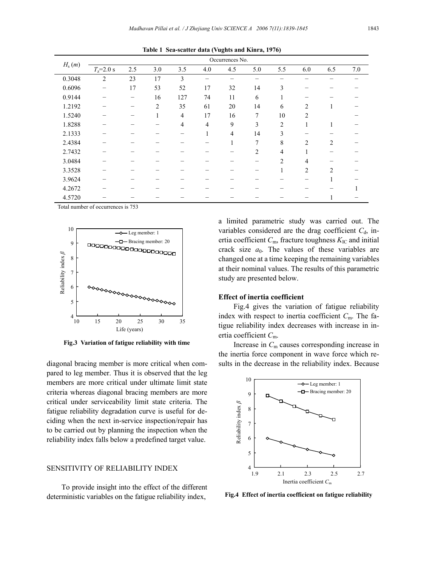**Table 1 Sea-scatter data (Vughts and Kinra, 1976)** 

| $H_s(m)$ | Occurrences No. |                          |                |                          |              |                |     |                |                |                |     |
|----------|-----------------|--------------------------|----------------|--------------------------|--------------|----------------|-----|----------------|----------------|----------------|-----|
|          | $T_z = 2.0$ s   | 2.5                      | 3.0            | 3.5                      | 4.0          | 4.5            | 5.0 | 5.5            | 6.0            | 6.5            | 7.0 |
| 0.3048   | 2               | 23                       | 17             | 3                        |              |                |     |                |                |                |     |
| 0.6096   | -               | 17                       | 53             | 52                       | 17           | 32             | 14  | 3              |                |                |     |
| 0.9144   |                 | $\overline{\phantom{m}}$ | 16             | 127                      | 74           | 11             | 6   |                |                |                |     |
| 1.2192   |                 | -                        | $\overline{2}$ | 35                       | 61           | 20             | 14  | 6              | $\overline{2}$ | 1              |     |
| 1.5240   |                 |                          | 1              | $\overline{4}$           | 17           | 16             | 7   | 10             | $\overline{2}$ |                |     |
| 1.8288   |                 |                          |                | $\overline{\mathcal{A}}$ | 4            | 9              | 3   | $\overline{c}$ |                |                |     |
| 2.1333   |                 |                          |                |                          | $\mathbf{1}$ | $\overline{4}$ | 14  | 3              |                |                |     |
| 2.4384   |                 |                          |                |                          |              | 1              | 7   | 8              | $\overline{2}$ | $\overline{2}$ |     |
| 2.7432   |                 |                          |                |                          |              |                | 2   | 4              |                |                |     |
| 3.0484   |                 |                          |                |                          |              |                |     | $\overline{2}$ | $\overline{4}$ |                |     |
| 3.3528   |                 |                          |                |                          |              |                |     | $\mathbf{1}$   | $\overline{2}$ | $\overline{c}$ |     |
| 3.9624   |                 |                          |                |                          |              |                |     |                |                | 1              |     |
| 4.2672   |                 |                          |                |                          |              |                |     |                |                |                |     |
| 4.5720   |                 |                          |                |                          |              |                |     |                |                |                |     |

Total number of occurrences is 753



**Fig.3 Variation of fatigue reliability with time** 

diagonal bracing member is more critical when compared to leg member. Thus it is observed that the leg members are more critical under ultimate limit state criteria whereas diagonal bracing members are more critical under serviceability limit state criteria. The fatigue reliability degradation curve is useful for deciding when the next in-service inspection/repair has to be carried out by planning the inspection when the reliability index falls below a predefined target value.

## SENSITIVITY OF RELIABILITY INDEX

To provide insight into the effect of the different deterministic variables on the fatigue reliability index,

a limited parametric study was carried out. The variables considered are the drag coefficient  $C<sub>d</sub>$ , inertia coefficient  $C_m$ , fracture toughness  $K_{\text{IC}}$  and initial crack size  $a_0$ . The values of these variables are changed one at a time keeping the remaining variables at their nominal values. The results of this parametric study are presented below.

#### **Effect of inertia coefficient**

Fig.4 gives the variation of fatigue reliability index with respect to inertia coefficient *C*m. The fatigue reliability index decreases with increase in inertia coefficient *C*m.

Increase in  $C<sub>m</sub>$  causes corresponding increase in the inertia force component in wave force which results in the decrease in the reliability index. Because



**Fig.4 Effect of inertia coefficient on fatigue reliability**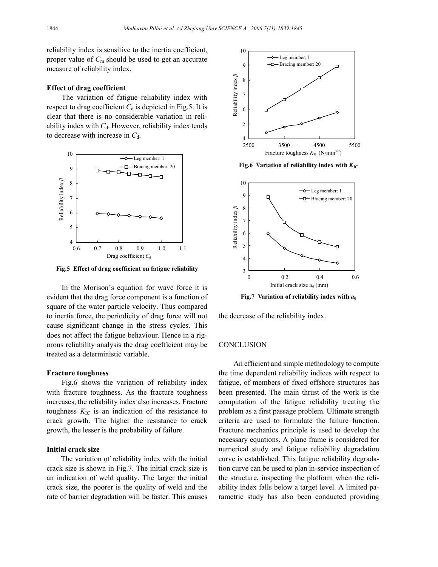reliability index is sensitive to the inertia coefficient, proper value of  $C_m$  should be used to get an accurate measure of reliability index.

# **Effect of drag coefficient**

The variation of fatigue reliability index with respect to drag coefficient  $C_d$  is depicted in Fig.5. It is clear that there is no considerable variation in reliability index with  $C_d$ . However, reliability index tends to decrease with increase in  $C_d$ .



**Fig.5 Effect of drag coefficient on fatigue reliability** 

In the Morison's equation for wave force it is evident that the drag force component is a function of square of the water particle velocity. Thus compared to inertia force, the periodicity of drag force will not cause significant change in the stress cycles. This does not affect the fatigue behaviour. Hence in a rigorous reliability analysis the drag coefficient may be treated as a deterministic variable.

#### **Fracture toughness**

Fig.6 shows the variation of reliability index with fracture toughness. As the fracture toughness increases, the reliability index also increases. Fracture toughness  $K_{\text{IC}}$  is an indication of the resistance to crack growth. The higher the resistance to crack growth, the lesser is the probability of failure.

#### **Initial crack size**

The variation of reliability index with the initial crack size is shown in Fig.7. The initial crack size is an indication of weld quality. The larger the initial crack size, the poorer is the quality of weld and the rate of barrier degradation will be faster. This causes



**Fig.6 Variation of reliability index with**  $K_{\text{IC}}$ 



Fig.7 Variation of reliability index with  $a_0$ 

the decrease of the reliability index.

#### **CONCLUSION**

An efficient and simple methodology to compute the time dependent reliability indices with respect to fatigue, of members of fixed offshore structures has been presented. The main thrust of the work is the computation of the fatigue reliability treating the problem as a first passage problem. Ultimate strength criteria are used to formulate the failure function. Fracture mechanics principle is used to develop the necessary equations. A plane frame is considered for numerical study and fatigue reliability degradation curve is established. This fatigue reliability degradation curve can be used to plan in-service inspection of the structure, inspecting the platform when the reliability index falls below a target level. A limited parametric study has also been conducted providing